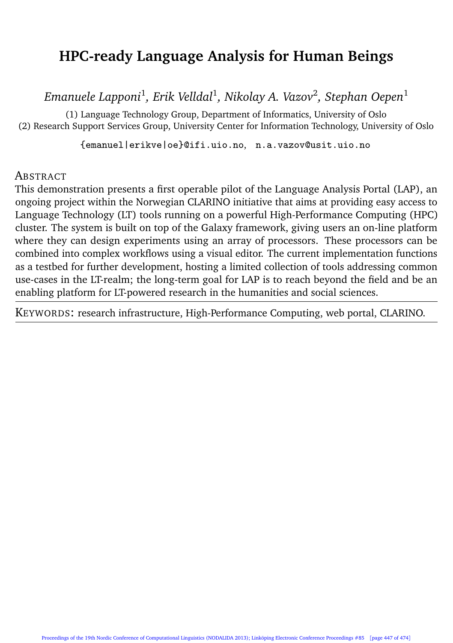# **HPC-ready Language Analysis for Human Beings**

*Emanuele Lapponi*<sup>1</sup> *, Erik Velldal*<sup>1</sup> *, Nikolay A. Vazov*<sup>2</sup> *, Stephan Oepen*<sup>1</sup>

(1) Language Technology Group, Department of Informatics, University of Oslo (2) Research Support Services Group, University Center for Information Technology, University of Oslo

{emanuel|erikve|oe}@ifi.uio.no, n.a.vazov@usit.uio.no

#### **ABSTRACT**

This demonstration presents a first operable pilot of the Language Analysis Portal (LAP), an ongoing project within the Norwegian CLARINO initiative that aims at providing easy access to Language Technology (LT) tools running on a powerful High-Performance Computing (HPC) cluster. The system is built on top of the Galaxy framework, giving users an on-line platform where they can design experiments using an array of processors. These processors can be combined into complex workflows using a visual editor. The current implementation functions as a testbed for further development, hosting a limited collection of tools addressing common use-cases in the LT-realm; the long-term goal for LAP is to reach beyond the field and be an enabling platform for LT-powered research in the humanities and social sciences.

KEYWORDS: research infrastructure, High-Performance Computing, web portal, CLARINO.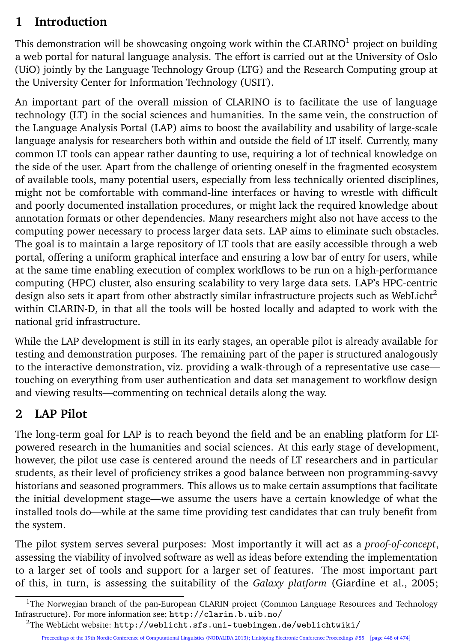## **1 Introduction**

This demonstration will be showcasing ongoing work within the  $CLARINO<sup>1</sup>$  project on building a web portal for natural language analysis. The effort is carried out at the University of Oslo (UiO) jointly by the Language Technology Group (LTG) and the Research Computing group at the University Center for Information Technology (USIT).

An important part of the overall mission of CLARINO is to facilitate the use of language technology (LT) in the social sciences and humanities. In the same vein, the construction of the Language Analysis Portal (LAP) aims to boost the availability and usability of large-scale language analysis for researchers both within and outside the field of LT itself. Currently, many common LT tools can appear rather daunting to use, requiring a lot of technical knowledge on the side of the user. Apart from the challenge of orienting oneself in the fragmented ecosystem of available tools, many potential users, especially from less technically oriented disciplines, might not be comfortable with command-line interfaces or having to wrestle with difficult and poorly documented installation procedures, or might lack the required knowledge about annotation formats or other dependencies. Many researchers might also not have access to the computing power necessary to process larger data sets. LAP aims to eliminate such obstacles. The goal is to maintain a large repository of LT tools that are easily accessible through a web portal, offering a uniform graphical interface and ensuring a low bar of entry for users, while at the same time enabling execution of complex workflows to be run on a high-performance computing (HPC) cluster, also ensuring scalability to very large data sets. LAP's HPC-centric design also sets it apart from other abstractly similar infrastructure projects such as WebLicht<sup>2</sup> within CLARIN-D, in that all the tools will be hosted locally and adapted to work with the national grid infrastructure.

While the LAP development is still in its early stages, an operable pilot is already available for testing and demonstration purposes. The remaining part of the paper is structured analogously to the interactive demonstration, viz. providing a walk-through of a representative use case touching on everything from user authentication and data set management to workflow design and viewing results—commenting on technical details along the way.

#### **2 LAP Pilot**

The long-term goal for LAP is to reach beyond the field and be an enabling platform for LTpowered research in the humanities and social sciences. At this early stage of development, however, the pilot use case is centered around the needs of LT researchers and in particular students, as their level of proficiency strikes a good balance between non programming-savvy historians and seasoned programmers. This allows us to make certain assumptions that facilitate the initial development stage—we assume the users have a certain knowledge of what the installed tools do—while at the same time providing test candidates that can truly benefit from the system.

The pilot system serves several purposes: Most importantly it will act as a *proof-of-concept*, assessing the viability of involved software as well as ideas before extending the implementation to a larger set of tools and support for a larger set of features. The most important part of this, in turn, is assessing the suitability of the *Galaxy platform* (Giardine et al., 2005;

 $1$ The Norwegian branch of the pan-European CLARIN project (Common Language Resources and Technology Infrastructure). For more information see; http://clarin.b.uib.no/

<sup>2</sup>The WebLicht website: http://weblicht.sfs.uni-tuebingen.de/weblichtwiki/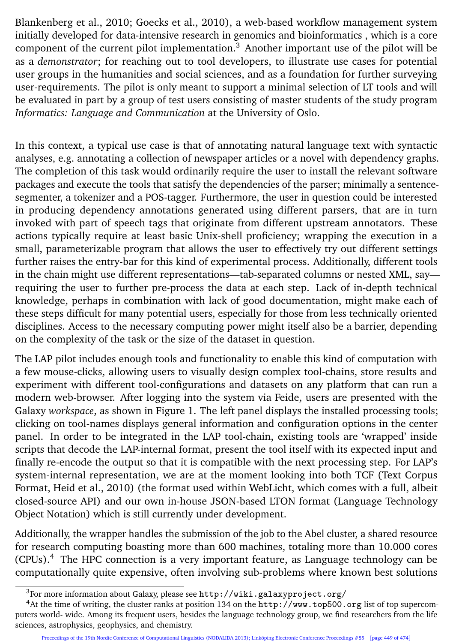Blankenberg et al., 2010; Goecks et al., 2010), a web-based workflow management system initially developed for data-intensive research in genomics and bioinformatics , which is a core component of the current pilot implementation. $3$  Another important use of the pilot will be as a *demonstrator*; for reaching out to tool developers, to illustrate use cases for potential user groups in the humanities and social sciences, and as a foundation for further surveying user-requirements. The pilot is only meant to support a minimal selection of LT tools and will be evaluated in part by a group of test users consisting of master students of the study program *Informatics: Language and Communication* at the University of Oslo.

In this context, a typical use case is that of annotating natural language text with syntactic analyses, e.g. annotating a collection of newspaper articles or a novel with dependency graphs. The completion of this task would ordinarily require the user to install the relevant software packages and execute the tools that satisfy the dependencies of the parser; minimally a sentencesegmenter, a tokenizer and a POS-tagger. Furthermore, the user in question could be interested in producing dependency annotations generated using different parsers, that are in turn invoked with part of speech tags that originate from different upstream annotators. These actions typically require at least basic Unix-shell proficiency; wrapping the execution in a small, parameterizable program that allows the user to effectively try out different settings further raises the entry-bar for this kind of experimental process. Additionally, different tools in the chain might use different representations—tab-separated columns or nested XML, say requiring the user to further pre-process the data at each step. Lack of in-depth technical knowledge, perhaps in combination with lack of good documentation, might make each of these steps difficult for many potential users, especially for those from less technically oriented disciplines. Access to the necessary computing power might itself also be a barrier, depending on the complexity of the task or the size of the dataset in question.

The LAP pilot includes enough tools and functionality to enable this kind of computation with a few mouse-clicks, allowing users to visually design complex tool-chains, store results and experiment with different tool-configurations and datasets on any platform that can run a modern web-browser. After logging into the system via Feide, users are presented with the Galaxy *workspace*, as shown in Figure 1. The left panel displays the installed processing tools; clicking on tool-names displays general information and configuration options in the center panel. In order to be integrated in the LAP tool-chain, existing tools are 'wrapped' inside scripts that decode the LAP-internal format, present the tool itself with its expected input and finally re-encode the output so that it is compatible with the next processing step. For LAP's system-internal representation, we are at the moment looking into both TCF (Text Corpus Format, Heid et al., 2010) (the format used within WebLicht, which comes with a full, albeit closed-source API) and our own in-house JSON-based LTON format (Language Technology Object Notation) which is still currently under development.

Additionally, the wrapper handles the submission of the job to the Abel cluster, a shared resource for research computing boasting more than 600 machines, totaling more than 10.000 cores (CPUs).<sup>4</sup> The HPC connection is a very important feature, as Language technology can be computationally quite expensive, often involving sub-problems where known best solutions

<sup>3</sup>For more information about Galaxy, please see http://wiki.galaxyproject.org/

<sup>4</sup>At the time of writing, the cluster ranks at position 134 on the http://www.top500.org list of top supercomputers world- wide. Among its frequent users, besides the language technology group, we find researchers from the life sciences, astrophysics, geophysics, and chemistry.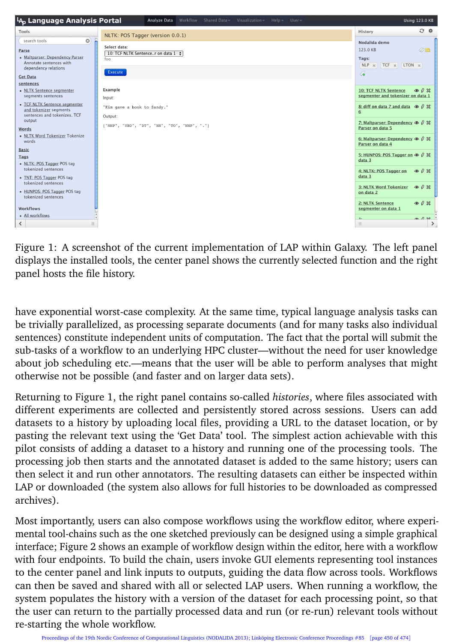

Figure 1: A screenshot of the current implementation of LAP within Galaxy. The left panel displays the installed tools, the center panel shows the currently selected function and the right panel hosts the file history.

have exponential worst-case complexity. At the same time, typical language analysis tasks can be trivially parallelized, as processing separate documents (and for many tasks also individual sentences) constitute independent units of computation. The fact that the portal will submit the sub-tasks of a workflow to an underlying HPC cluster—without the need for user knowledge about job scheduling etc.—means that the user will be able to perform analyses that might otherwise not be possible (and faster and on larger data sets).

Returning to Figure 1, the right panel contains so-called *histories*, where files associated with different experiments are collected and persistently stored across sessions. Users can add datasets to a history by uploading local files, providing a URL to the dataset location, or by pasting the relevant text using the 'Get Data' tool. The simplest action achievable with this pilot consists of adding a dataset to a history and running one of the processing tools. The processing job then starts and the annotated dataset is added to the same history; users can then select it and run other annotators. The resulting datasets can either be inspected within LAP or downloaded (the system also allows for full histories to be downloaded as compressed archives).

Most importantly, users can also compose workflows using the workflow editor, where experimental tool-chains such as the one sketched previously can be designed using a simple graphical interface; Figure 2 shows an example of workflow design within the editor, here with a workflow with four endpoints. To build the chain, users invoke GUI elements representing tool instances to the center panel and link inputs to outputs, guiding the data flow across tools. Workflows can then be saved and shared with all or selected LAP users. When running a workflow, the system populates the history with a version of the dataset for each processing point, so that the user can return to the partially processed data and run (or re-run) relevant tools without re-starting the whole workflow.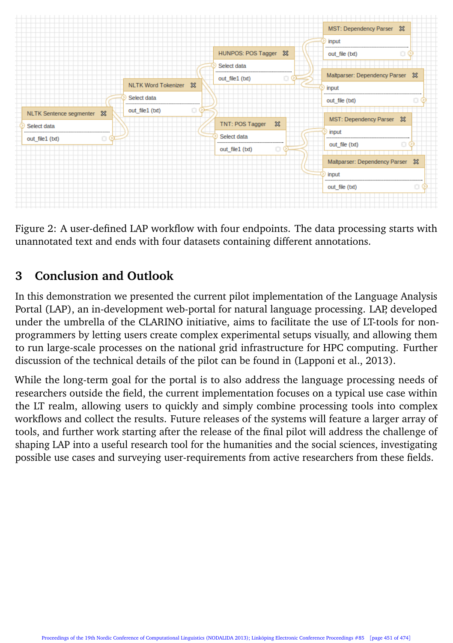

Figure 2: A user-defined LAP workflow with four endpoints. The data processing starts with unannotated text and ends with four datasets containing different annotations.

## **3 Conclusion and Outlook**

In this demonstration we presented the current pilot implementation of the Language Analysis Portal (LAP), an in-development web-portal for natural language processing. LAP, developed under the umbrella of the CLARINO initiative, aims to facilitate the use of LT-tools for nonprogrammers by letting users create complex experimental setups visually, and allowing them to run large-scale processes on the national grid infrastructure for HPC computing. Further discussion of the technical details of the pilot can be found in (Lapponi et al., 2013).

While the long-term goal for the portal is to also address the language processing needs of researchers outside the field, the current implementation focuses on a typical use case within the LT realm, allowing users to quickly and simply combine processing tools into complex workflows and collect the results. Future releases of the systems will feature a larger array of tools, and further work starting after the release of the final pilot will address the challenge of shaping LAP into a useful research tool for the humanities and the social sciences, investigating possible use cases and surveying user-requirements from active researchers from these fields.